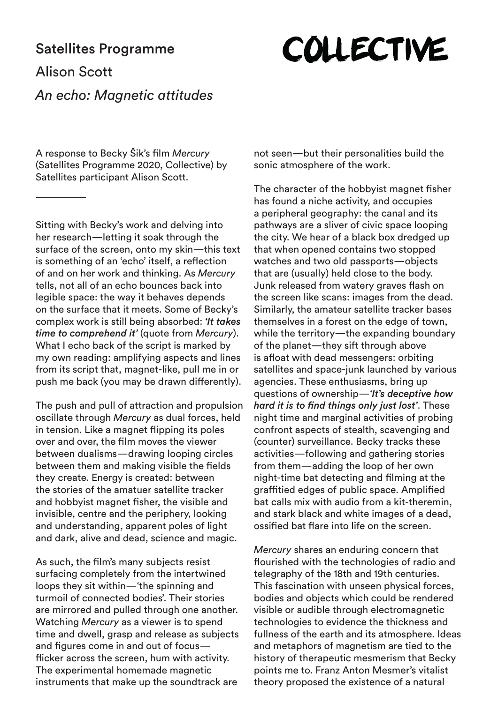## Satellites Programme

## **COLLECTIVE**

## Alison Scott *An echo: Magnetic attitudes*

A response to Becky Šik's film *Mercury* (Satellites Programme 2020, Collective) by Satellites participant Alison Scott.

Sitting with Becky's work and delving into her research—letting it soak through the surface of the screen, onto my skin—this text is something of an 'echo' itself, a reflection of and on her work and thinking. As *Mercury* tells, not all of an echo bounces back into legible space: the way it behaves depends on the surface that it meets. Some of Becky's complex work is still being absorbed: *'It takes time to comprehend it'* (quote from *Mercury*). What I echo back of the script is marked by my own reading: amplifying aspects and lines from its script that, magnet-like, pull me in or push me back (you may be drawn differently).

The push and pull of attraction and propulsion oscillate through *Mercury* as dual forces, held in tension. Like a magnet flipping its poles over and over, the film moves the viewer between dualisms—drawing looping circles between them and making visible the fields they create. Energy is created: between the stories of the amatuer satellite tracker and hobbyist magnet fisher, the visible and invisible, centre and the periphery, looking and understanding, apparent poles of light and dark, alive and dead, science and magic.

As such, the film's many subjects resist surfacing completely from the intertwined loops they sit within—'the spinning and turmoil of connected bodies'. Their stories are mirrored and pulled through one another. Watching *Mercury* as a viewer is to spend time and dwell, grasp and release as subjects and figures come in and out of focus flicker across the screen, hum with activity. The experimental homemade magnetic instruments that make up the soundtrack are

not seen—but their personalities build the sonic atmosphere of the work.

The character of the hobbyist magnet fisher has found a niche activity, and occupies a peripheral geography: the canal and its pathways are a sliver of civic space looping the city. We hear of a black box dredged up that when opened contains two stopped watches and two old passports—objects that are (usually) held close to the body. Junk released from watery graves flash on the screen like scans: images from the dead. Similarly, the amateur satellite tracker bases themselves in a forest on the edge of town, while the territory—the expanding boundary of the planet—they sift through above is afloat with dead messengers: orbiting satellites and space-junk launched by various agencies. These enthusiasms, bring up questions of ownership—*'It's deceptive how hard it is to find things only just lost'*. These night time and marginal activities of probing confront aspects of stealth, scavenging and (counter) surveillance. Becky tracks these activities—following and gathering stories from them—adding the loop of her own night-time bat detecting and filming at the graffitied edges of public space. Amplified bat calls mix with audio from a kit-theremin, and stark black and white images of a dead, ossified bat flare into life on the screen.

*Mercury* shares an enduring concern that flourished with the technologies of radio and telegraphy of the 18th and 19th centuries. This fascination with unseen physical forces, bodies and objects which could be rendered visible or audible through electromagnetic technologies to evidence the thickness and fullness of the earth and its atmosphere. Ideas and metaphors of magnetism are tied to the history of therapeutic mesmerism that Becky points me to. Franz Anton Mesmer's vitalist theory proposed the existence of a natural